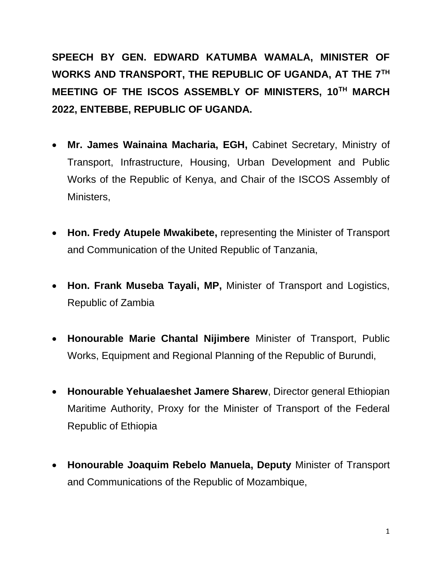**SPEECH BY GEN. EDWARD KATUMBA WAMALA, MINISTER OF WORKS AND TRANSPORT, THE REPUBLIC OF UGANDA, AT THE 7TH MEETING OF THE ISCOS ASSEMBLY OF MINISTERS, 10TH MARCH 2022, ENTEBBE, REPUBLIC OF UGANDA.** 

- **Mr. James Wainaina Macharia, EGH,** Cabinet Secretary, Ministry of Transport, Infrastructure, Housing, Urban Development and Public Works of the Republic of Kenya, and Chair of the ISCOS Assembly of Ministers,
- **Hon. Fredy Atupele Mwakibete,** representing the Minister of Transport and Communication of the United Republic of Tanzania,
- **Hon. Frank Museba Tayali, MP,** Minister of Transport and Logistics, Republic of Zambia
- **Honourable Marie Chantal Nijimbere** Minister of Transport, Public Works, Equipment and Regional Planning of the Republic of Burundi,
- **Honourable Yehualaeshet Jamere Sharew**, Director general Ethiopian Maritime Authority, Proxy for the Minister of Transport of the Federal Republic of Ethiopia
- **Honourable Joaquim Rebelo Manuela, Deputy** Minister of Transport and Communications of the Republic of Mozambique,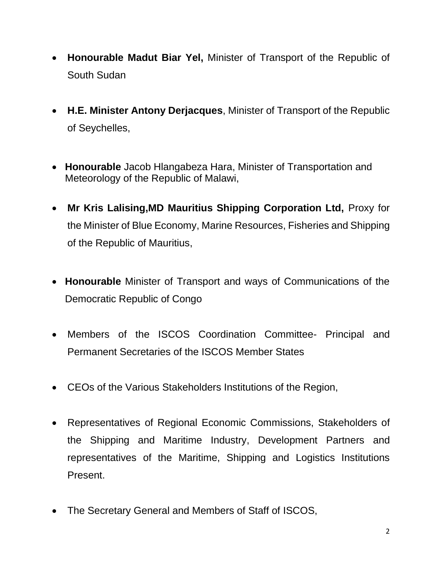- **Honourable Madut Biar Yel,** Minister of Transport of the Republic of South Sudan
- **H.E. Minister Antony Derjacques**, Minister of Transport of the Republic of Seychelles,
- **Honourable** Jacob Hlangabeza Hara, Minister of Transportation and Meteorology of the Republic of Malawi,
- **Mr Kris Lalising,MD Mauritius Shipping Corporation Ltd,** Proxy for the Minister of Blue Economy, Marine Resources, Fisheries and Shipping of the Republic of Mauritius,
- **Honourable** Minister of Transport and ways of Communications of the Democratic Republic of Congo
- Members of the ISCOS Coordination Committee- Principal and Permanent Secretaries of the ISCOS Member States
- CEOs of the Various Stakeholders Institutions of the Region,
- Representatives of Regional Economic Commissions, Stakeholders of the Shipping and Maritime Industry, Development Partners and representatives of the Maritime, Shipping and Logistics Institutions Present.
- The Secretary General and Members of Staff of ISCOS,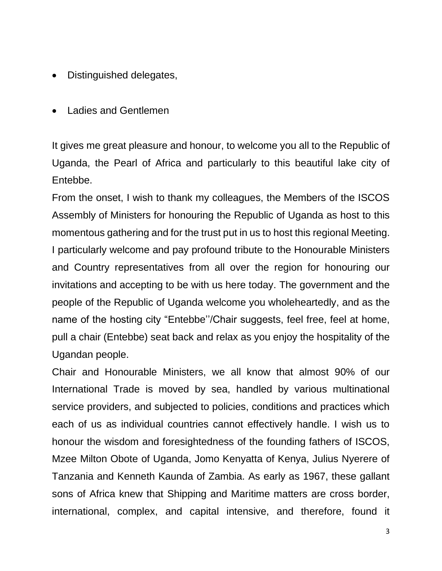- Distinguished delegates,
- Ladies and Gentlemen

It gives me great pleasure and honour, to welcome you all to the Republic of Uganda, the Pearl of Africa and particularly to this beautiful lake city of Entebbe.

From the onset, I wish to thank my colleagues, the Members of the ISCOS Assembly of Ministers for honouring the Republic of Uganda as host to this momentous gathering and for the trust put in us to host this regional Meeting. I particularly welcome and pay profound tribute to the Honourable Ministers and Country representatives from all over the region for honouring our invitations and accepting to be with us here today. The government and the people of the Republic of Uganda welcome you wholeheartedly, and as the name of the hosting city "Entebbe''/Chair suggests, feel free, feel at home, pull a chair (Entebbe) seat back and relax as you enjoy the hospitality of the Ugandan people.

Chair and Honourable Ministers, we all know that almost 90% of our International Trade is moved by sea, handled by various multinational service providers, and subjected to policies, conditions and practices which each of us as individual countries cannot effectively handle. I wish us to honour the wisdom and foresightedness of the founding fathers of ISCOS, Mzee Milton Obote of Uganda, Jomo Kenyatta of Kenya, Julius Nyerere of Tanzania and Kenneth Kaunda of Zambia. As early as 1967, these gallant sons of Africa knew that Shipping and Maritime matters are cross border, international, complex, and capital intensive, and therefore, found it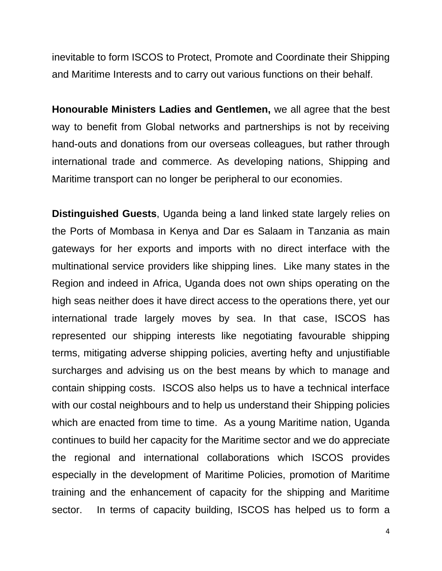inevitable to form ISCOS to Protect, Promote and Coordinate their Shipping and Maritime Interests and to carry out various functions on their behalf.

**Honourable Ministers Ladies and Gentlemen,** we all agree that the best way to benefit from Global networks and partnerships is not by receiving hand-outs and donations from our overseas colleagues, but rather through international trade and commerce. As developing nations, Shipping and Maritime transport can no longer be peripheral to our economies.

**Distinguished Guests**, Uganda being a land linked state largely relies on the Ports of Mombasa in Kenya and Dar es Salaam in Tanzania as main gateways for her exports and imports with no direct interface with the multinational service providers like shipping lines. Like many states in the Region and indeed in Africa, Uganda does not own ships operating on the high seas neither does it have direct access to the operations there, yet our international trade largely moves by sea. In that case, ISCOS has represented our shipping interests like negotiating favourable shipping terms, mitigating adverse shipping policies, averting hefty and unjustifiable surcharges and advising us on the best means by which to manage and contain shipping costs. ISCOS also helps us to have a technical interface with our costal neighbours and to help us understand their Shipping policies which are enacted from time to time. As a young Maritime nation, Uganda continues to build her capacity for the Maritime sector and we do appreciate the regional and international collaborations which ISCOS provides especially in the development of Maritime Policies, promotion of Maritime training and the enhancement of capacity for the shipping and Maritime sector. In terms of capacity building, ISCOS has helped us to form a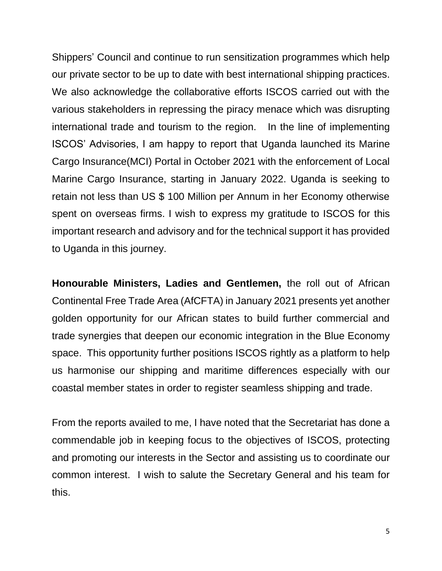Shippers' Council and continue to run sensitization programmes which help our private sector to be up to date with best international shipping practices. We also acknowledge the collaborative efforts ISCOS carried out with the various stakeholders in repressing the piracy menace which was disrupting international trade and tourism to the region. In the line of implementing ISCOS' Advisories, I am happy to report that Uganda launched its Marine Cargo Insurance(MCI) Portal in October 2021 with the enforcement of Local Marine Cargo Insurance, starting in January 2022. Uganda is seeking to retain not less than US \$ 100 Million per Annum in her Economy otherwise spent on overseas firms. I wish to express my gratitude to ISCOS for this important research and advisory and for the technical support it has provided to Uganda in this journey.

**Honourable Ministers, Ladies and Gentlemen,** the roll out of African Continental Free Trade Area (AfCFTA) in January 2021 presents yet another golden opportunity for our African states to build further commercial and trade synergies that deepen our economic integration in the Blue Economy space. This opportunity further positions ISCOS rightly as a platform to help us harmonise our shipping and maritime differences especially with our coastal member states in order to register seamless shipping and trade.

From the reports availed to me, I have noted that the Secretariat has done a commendable job in keeping focus to the objectives of ISCOS, protecting and promoting our interests in the Sector and assisting us to coordinate our common interest. I wish to salute the Secretary General and his team for this.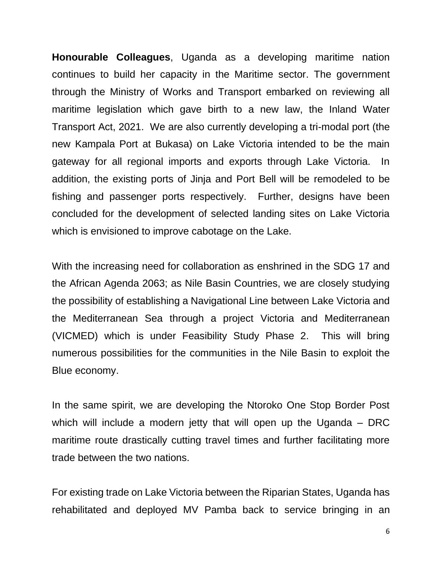**Honourable Colleagues**, Uganda as a developing maritime nation continues to build her capacity in the Maritime sector. The government through the Ministry of Works and Transport embarked on reviewing all maritime legislation which gave birth to a new law, the Inland Water Transport Act, 2021. We are also currently developing a tri-modal port (the new Kampala Port at Bukasa) on Lake Victoria intended to be the main gateway for all regional imports and exports through Lake Victoria. In addition, the existing ports of Jinja and Port Bell will be remodeled to be fishing and passenger ports respectively. Further, designs have been concluded for the development of selected landing sites on Lake Victoria which is envisioned to improve cabotage on the Lake.

With the increasing need for collaboration as enshrined in the SDG 17 and the African Agenda 2063; as Nile Basin Countries, we are closely studying the possibility of establishing a Navigational Line between Lake Victoria and the Mediterranean Sea through a project Victoria and Mediterranean (VICMED) which is under Feasibility Study Phase 2. This will bring numerous possibilities for the communities in the Nile Basin to exploit the Blue economy.

In the same spirit, we are developing the Ntoroko One Stop Border Post which will include a modern jetty that will open up the Uganda – DRC maritime route drastically cutting travel times and further facilitating more trade between the two nations.

For existing trade on Lake Victoria between the Riparian States, Uganda has rehabilitated and deployed MV Pamba back to service bringing in an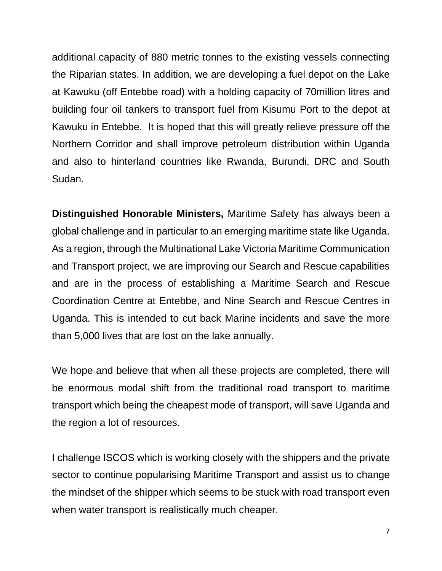additional capacity of 880 metric tonnes to the existing vessels connecting the Riparian states. In addition, we are developing a fuel depot on the Lake at Kawuku (off Entebbe road) with a holding capacity of 70million litres and building four oil tankers to transport fuel from Kisumu Port to the depot at Kawuku in Entebbe. It is hoped that this will greatly relieve pressure off the Northern Corridor and shall improve petroleum distribution within Uganda and also to hinterland countries like Rwanda, Burundi, DRC and South Sudan.

**Distinguished Honorable Ministers,** Maritime Safety has always been a global challenge and in particular to an emerging maritime state like Uganda. As a region, through the Multinational Lake Victoria Maritime Communication and Transport project, we are improving our Search and Rescue capabilities and are in the process of establishing a Maritime Search and Rescue Coordination Centre at Entebbe, and Nine Search and Rescue Centres in Uganda. This is intended to cut back Marine incidents and save the more than 5,000 lives that are lost on the lake annually.

We hope and believe that when all these projects are completed, there will be enormous modal shift from the traditional road transport to maritime transport which being the cheapest mode of transport, will save Uganda and the region a lot of resources.

I challenge ISCOS which is working closely with the shippers and the private sector to continue popularising Maritime Transport and assist us to change the mindset of the shipper which seems to be stuck with road transport even when water transport is realistically much cheaper.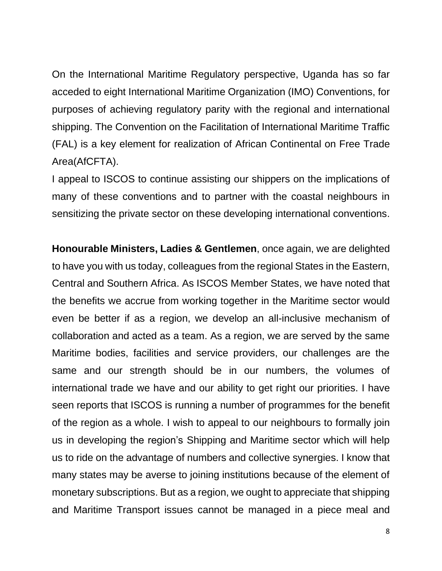On the International Maritime Regulatory perspective, Uganda has so far acceded to eight International Maritime Organization (IMO) Conventions, for purposes of achieving regulatory parity with the regional and international shipping. The Convention on the Facilitation of International Maritime Traffic (FAL) is a key element for realization of African Continental on Free Trade Area(AfCFTA).

I appeal to ISCOS to continue assisting our shippers on the implications of many of these conventions and to partner with the coastal neighbours in sensitizing the private sector on these developing international conventions.

**Honourable Ministers, Ladies & Gentlemen**, once again, we are delighted to have you with us today, colleagues from the regional States in the Eastern, Central and Southern Africa. As ISCOS Member States, we have noted that the benefits we accrue from working together in the Maritime sector would even be better if as a region, we develop an all-inclusive mechanism of collaboration and acted as a team. As a region, we are served by the same Maritime bodies, facilities and service providers, our challenges are the same and our strength should be in our numbers, the volumes of international trade we have and our ability to get right our priorities. I have seen reports that ISCOS is running a number of programmes for the benefit of the region as a whole. I wish to appeal to our neighbours to formally join us in developing the region's Shipping and Maritime sector which will help us to ride on the advantage of numbers and collective synergies. I know that many states may be averse to joining institutions because of the element of monetary subscriptions. But as a region, we ought to appreciate that shipping and Maritime Transport issues cannot be managed in a piece meal and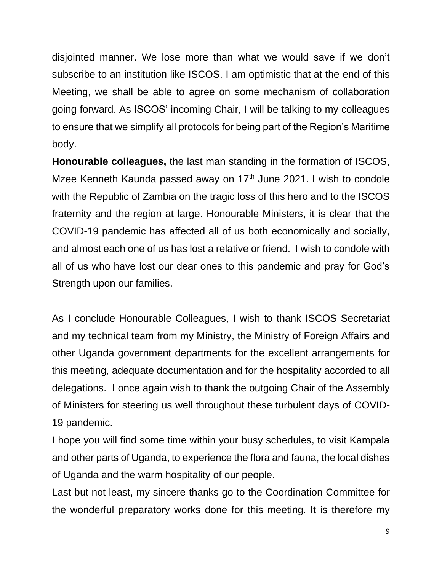disjointed manner. We lose more than what we would save if we don't subscribe to an institution like ISCOS. I am optimistic that at the end of this Meeting, we shall be able to agree on some mechanism of collaboration going forward. As ISCOS' incoming Chair, I will be talking to my colleagues to ensure that we simplify all protocols for being part of the Region's Maritime body.

**Honourable colleagues,** the last man standing in the formation of ISCOS, Mzee Kenneth Kaunda passed away on  $17<sup>th</sup>$  June 2021. I wish to condole with the Republic of Zambia on the tragic loss of this hero and to the ISCOS fraternity and the region at large. Honourable Ministers, it is clear that the COVID-19 pandemic has affected all of us both economically and socially, and almost each one of us has lost a relative or friend. I wish to condole with all of us who have lost our dear ones to this pandemic and pray for God's Strength upon our families.

As I conclude Honourable Colleagues, I wish to thank ISCOS Secretariat and my technical team from my Ministry, the Ministry of Foreign Affairs and other Uganda government departments for the excellent arrangements for this meeting, adequate documentation and for the hospitality accorded to all delegations. I once again wish to thank the outgoing Chair of the Assembly of Ministers for steering us well throughout these turbulent days of COVID-19 pandemic.

I hope you will find some time within your busy schedules, to visit Kampala and other parts of Uganda, to experience the flora and fauna, the local dishes of Uganda and the warm hospitality of our people.

Last but not least, my sincere thanks go to the Coordination Committee for the wonderful preparatory works done for this meeting. It is therefore my